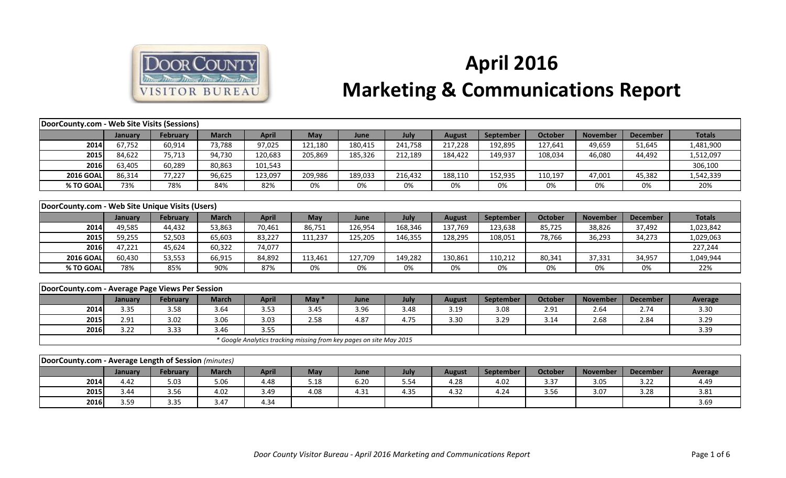

## **April 2016 Marketing & Communications Report**

| DoorCounty.com - Web Site Visits (Sessions)          |         |                 |              |              |         |                                                                     |         |               |                  |                |                 |                 |                |
|------------------------------------------------------|---------|-----------------|--------------|--------------|---------|---------------------------------------------------------------------|---------|---------------|------------------|----------------|-----------------|-----------------|----------------|
|                                                      | January | February        | <b>March</b> | <b>April</b> | May     | June                                                                | July    | <b>August</b> | September        | <b>October</b> | <b>November</b> | <b>December</b> | <b>Totals</b>  |
| 2014                                                 | 67,752  | 60,914          | 73,788       | 97,025       | 121,180 | 180,415                                                             | 241,758 | 217,228       | 192,895          | 127,641        | 49,659          | 51,645          | 1,481,900      |
| 2015                                                 | 84,622  | 75,713          | 94,730       | 120,683      | 205,869 | 185,326                                                             | 212,189 | 184,422       | 149,937          | 108,034        | 46,080          | 44,492          | 1,512,097      |
| 2016                                                 | 63,405  | 60,289          | 80,863       | 101,543      |         |                                                                     |         |               |                  |                |                 |                 | 306,100        |
| <b>2016 GOAL</b>                                     | 86,314  | 77,227          | 96,625       | 123,097      | 209,986 | 189,033                                                             | 216,432 | 188,110       | 152,935          | 110,197        | 47,001          | 45,382          | 1,542,339      |
| % TO GOAL                                            | 73%     | 78%             | 84%          | 82%          | 0%      | 0%                                                                  | 0%      | 0%            | 0%               | 0%             | 0%              | 0%              | 20%            |
|                                                      |         |                 |              |              |         |                                                                     |         |               |                  |                |                 |                 |                |
| DoorCounty.com - Web Site Unique Visits (Users)      |         |                 |              |              |         |                                                                     |         |               |                  |                |                 |                 |                |
|                                                      | January | <b>February</b> | <b>March</b> | <b>April</b> | May     | June                                                                | July    | <b>August</b> | September        | <b>October</b> | <b>November</b> | <b>December</b> | <b>Totals</b>  |
| 2014                                                 | 49,585  | 44,432          | 53,863       | 70,461       | 86,751  | 126,954                                                             | 168,346 | 137,769       | 123,638          | 85,725         | 38,826          | 37,492          | 1,023,842      |
| 2015                                                 | 59,255  | 52,503          | 65,603       | 83,227       | 111,237 | 125,205                                                             | 146,355 | 128,295       | 108,051          | 78,766         | 36,293          | 34,273          | 1,029,063      |
| 2016                                                 | 47,221  | 45,624          | 60,322       | 74,077       |         |                                                                     |         |               |                  |                |                 |                 | 227,244        |
| <b>2016 GOAL</b>                                     | 60,430  | 53,553          | 66,915       | 84,892       | 113,461 | 127,709                                                             | 149,282 | 130,861       | 110,212          | 80,341         | 37,331          | 34,957          | 1,049,944      |
| % TO GOAL                                            | 78%     | 85%             | 90%          | 87%          | 0%      | 0%                                                                  | 0%      | 0%            | 0%               | 0%             | 0%              | 0%              | 22%            |
|                                                      |         |                 |              |              |         |                                                                     |         |               |                  |                |                 |                 |                |
| DoorCounty.com - Average Page Views Per Session      |         |                 |              |              |         |                                                                     |         |               |                  |                |                 |                 |                |
|                                                      | January | February        | <b>March</b> | <b>April</b> | May $*$ | June                                                                | July    | <b>August</b> | <b>September</b> | October        | <b>November</b> | <b>December</b> | Average        |
| 2014                                                 | 3.35    | 3.58            | 3.64         | 3.53         | 3.45    | 3.96                                                                | 3.48    | 3.19          | 3.08             | 2.91           | 2.64            | 2.74            | 3.30           |
| 2015                                                 | 2.91    | 3.02            | 3.06         | 3.03         | 2.58    | 4.87                                                                | 4.75    | 3.30          | 3.29             | 3.14           | 2.68            | 2.84            | 3.29           |
| 2016                                                 | 3.22    | 3.33            | 3.46         | 3.55         |         |                                                                     |         |               |                  |                |                 |                 | 3.39           |
|                                                      |         |                 |              |              |         | * Google Analytics tracking missing from key pages on site May 2015 |         |               |                  |                |                 |                 |                |
|                                                      |         |                 |              |              |         |                                                                     |         |               |                  |                |                 |                 |                |
| DoorCounty.com - Average Length of Session (minutes) |         |                 |              |              |         |                                                                     |         |               |                  |                |                 |                 |                |
|                                                      | January | February        | <b>March</b> | <b>April</b> | May     | June                                                                | July    | <b>August</b> | September        | October        | <b>November</b> | <b>December</b> | <b>Average</b> |
| 2014                                                 | 4.42    | 5.03            | 5.06         | 4.48         | 5.18    | 6.20                                                                | 5.54    | 4.28          | 4.02             | 3.37           | 3.05            | 3.22            | 4.49           |
| 2015                                                 | 3.44    | 3.56            | 4.02         | 3.49         | 4.08    | 4.31                                                                | 4.35    | 4.32          | 4.24             | 3.56           | 3.07            | 3.28            | 3.81           |
| 2016                                                 | 3.59    | 3.35            | 3.47         | 4.34         |         |                                                                     |         |               |                  |                |                 |                 | 3.69           |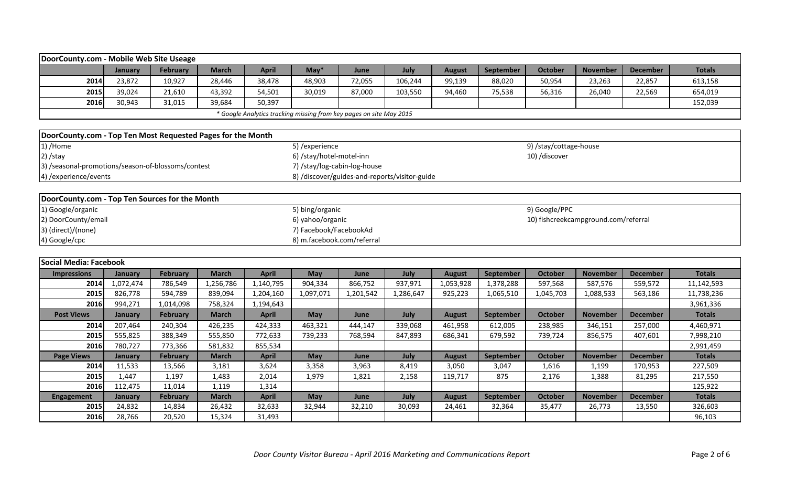| DoorCounty.com - Mobile Web Site Useage                     |           |                 |              |                                                                     |                            |                              |                                               |               |                  |                                      |                 |                 |               |
|-------------------------------------------------------------|-----------|-----------------|--------------|---------------------------------------------------------------------|----------------------------|------------------------------|-----------------------------------------------|---------------|------------------|--------------------------------------|-----------------|-----------------|---------------|
|                                                             | January   | <b>February</b> | <b>March</b> | <b>April</b>                                                        | $May*$                     | June                         | July                                          | <b>August</b> | September        | <b>October</b>                       | <b>November</b> | <b>December</b> | <b>Totals</b> |
| 2014                                                        | 23,872    | 10,927          | 28,446       | 38,478                                                              | 48,903                     | 72,055                       | 106,244                                       | 99,139        | 88,020           | 50,954                               | 23,263          | 22,857          | 613,158       |
| 2015                                                        | 39,024    | 21,610          | 43,392       | 54,501                                                              | 30,019                     | 87,000                       | 103,550                                       | 94,460        | 75,538           | 56,316                               | 26,040          | 22,569          | 654,019       |
| 2016                                                        | 30,943    | 31,015          | 39,684       | 50,397                                                              |                            |                              |                                               |               |                  |                                      |                 |                 | 152,039       |
|                                                             |           |                 |              | * Google Analytics tracking missing from key pages on site May 2015 |                            |                              |                                               |               |                  |                                      |                 |                 |               |
|                                                             |           |                 |              |                                                                     |                            |                              |                                               |               |                  |                                      |                 |                 |               |
| DoorCounty.com - Top Ten Most Requested Pages for the Month |           |                 |              |                                                                     |                            |                              |                                               |               |                  |                                      |                 |                 |               |
| 1) /Home                                                    |           |                 |              |                                                                     | 5) / experience            |                              |                                               |               |                  | 9) /stay/cottage-house               |                 |                 |               |
| $2)$ /stay                                                  |           |                 |              |                                                                     | 6) /stay/hotel-motel-inn   |                              |                                               |               |                  | 10) /discover                        |                 |                 |               |
| 3) /seasonal-promotions/season-of-blossoms/contest          |           |                 |              |                                                                     |                            | 7) /stay/log-cabin-log-house |                                               |               |                  |                                      |                 |                 |               |
| 4) / experience/ events                                     |           |                 |              |                                                                     |                            |                              | 8) /discover/guides-and-reports/visitor-guide |               |                  |                                      |                 |                 |               |
|                                                             |           |                 |              |                                                                     |                            |                              |                                               |               |                  |                                      |                 |                 |               |
| DoorCounty.com - Top Ten Sources for the Month              |           |                 |              |                                                                     |                            |                              |                                               |               |                  |                                      |                 |                 |               |
| 1) Google/organic                                           |           |                 |              |                                                                     | 5) bing/organic            |                              |                                               |               |                  | 9) Google/PPC                        |                 |                 |               |
| 2) DoorCounty/email                                         |           |                 |              |                                                                     | 6) yahoo/organic           |                              |                                               |               |                  | 10) fishcreekcampground.com/referral |                 |                 |               |
| 3) (direct)/(none)                                          |           |                 |              |                                                                     | 7) Facebook/FacebookAd     |                              |                                               |               |                  |                                      |                 |                 |               |
| 4) Google/cpc                                               |           |                 |              |                                                                     | 8) m.facebook.com/referral |                              |                                               |               |                  |                                      |                 |                 |               |
|                                                             |           |                 |              |                                                                     |                            |                              |                                               |               |                  |                                      |                 |                 |               |
| Social Media: Facebook                                      |           |                 |              |                                                                     |                            |                              |                                               |               |                  |                                      |                 |                 |               |
| <b>Impressions</b>                                          | January   | <b>February</b> | <b>March</b> | <b>April</b>                                                        | May                        | June                         | July                                          | <b>August</b> | September        | <b>October</b>                       | <b>November</b> | <b>December</b> | <b>Totals</b> |
| 2014                                                        | 1,072,474 | 786,549         | 1,256,786    | 1,140,795                                                           | 904,334                    | 866,752                      | 937,971                                       | 1,053,928     | 1,378,288        | 597,568                              | 587,576         | 559,572         | 11,142,593    |
| 2015                                                        | 826,778   | 594,789         | 839,094      | 1,204,160                                                           | 1,097,071                  | 1,201,542                    | 1,286,647                                     | 925,223       | 1,065,510        | 1,045,703                            | 1,088,533       | 563,186         | 11,738,236    |
| 2016                                                        | 994,271   | 1,014,098       | 758,324      | 1,194,643                                                           |                            |                              |                                               |               |                  |                                      |                 |                 | 3,961,336     |
| <b>Post Views</b>                                           | January   | <b>February</b> | <b>March</b> | <b>April</b>                                                        | May                        | June                         | July                                          | <b>August</b> | <b>September</b> | <b>October</b>                       | <b>November</b> | <b>December</b> | <b>Totals</b> |
| 2014                                                        | 207,464   | 240,304         | 426,235      | 424,333                                                             | 463,321                    | 444,147                      | 339,068                                       | 461,958       | 612,005          | 238,985                              | 346,151         | 257,000         | 4,460,971     |
| 2015                                                        | 555,825   | 388,349         | 555,850      | 772,633                                                             | 739,233                    | 768,594                      | 847,893                                       | 686,341       | 679,592          | 739,724                              | 856,575         | 407,601         | 7,998,210     |
| 2016                                                        | 780,727   | 773,366         | 581,832      | 855,534                                                             |                            |                              |                                               |               |                  |                                      |                 |                 | 2,991,459     |
| <b>Page Views</b>                                           | January   | <b>February</b> | <b>March</b> | <b>April</b>                                                        | May                        | June                         | July                                          | <b>August</b> | September        | <b>October</b>                       | <b>November</b> | <b>December</b> | <b>Totals</b> |
| 2014                                                        | 11,533    | 13,566          | 3,181        | 3,624                                                               | 3,358                      | 3,963                        | 8,419                                         | 3,050         | 3,047            | 1,616                                | 1,199           | 170,953         | 227,509       |
| 2015                                                        | 1,447     | 1,197           | 1,483        | 2,014                                                               | 1,979                      | 1,821                        | 2,158                                         | 119,717       | 875              | 2,176                                | 1,388           | 81,295          | 217,550       |
| 2016                                                        | 112,475   | 11,014          | 1,119        | 1,314                                                               |                            |                              |                                               |               |                  |                                      |                 |                 | 125,922       |
| <b>Engagement</b>                                           | January   | <b>February</b> | <b>March</b> | <b>April</b>                                                        | May                        | June                         | July                                          | <b>August</b> | September        | <b>October</b>                       | <b>November</b> | <b>December</b> | <b>Totals</b> |
| 2015                                                        | 24,832    | 14,834          | 26,432       | 32,633                                                              | 32,944                     | 32,210                       | 30,093                                        | 24,461        | 32,364           | 35,477                               | 26,773          | 13,550          | 326,603       |
| 2016                                                        | 28,766    | 20,520          | 15,324       | 31,493                                                              |                            |                              |                                               |               |                  |                                      |                 |                 | 96,103        |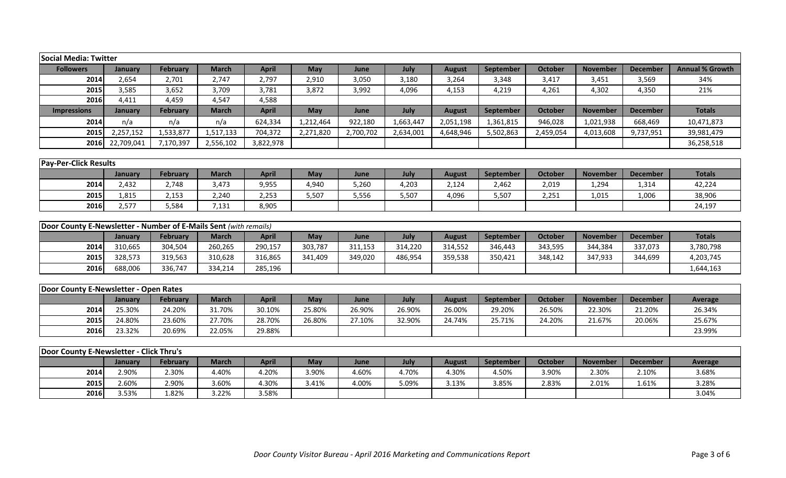| Social Media: Twitter                                            |                  |                          |                       |                       |              |               |               |                        |                    |                         |                          |                          |                        |
|------------------------------------------------------------------|------------------|--------------------------|-----------------------|-----------------------|--------------|---------------|---------------|------------------------|--------------------|-------------------------|--------------------------|--------------------------|------------------------|
| <b>Followers</b>                                                 | January          | <b>February</b>          | <b>March</b>          | <b>April</b>          | <b>May</b>   | June          | July          | <b>August</b>          | September          | <b>October</b>          | <b>November</b>          | <b>December</b>          | <b>Annual % Growth</b> |
| 2014                                                             | 2,654            | 2,701                    | 2,747                 | 2,797                 | 2,910        | 3,050         | 3,180         | 3,264                  | 3,348              | 3,417                   | 3,451                    | 3,569                    | 34%                    |
| 2015                                                             | 3,585            | 3,652                    | 3,709                 | 3,781                 | 3,872        | 3,992         | 4,096         | 4,153                  | 4,219              | 4,261                   | 4,302                    | 4,350                    | 21%                    |
| 2016                                                             | 4,411            | 4,459                    | 4,547                 | 4,588                 |              |               |               |                        |                    |                         |                          |                          |                        |
| <b>Impressions</b>                                               | January          | <b>February</b>          | <b>March</b>          | <b>April</b>          | May          | June          | July          | <b>August</b>          | <b>September</b>   | <b>October</b>          | <b>November</b>          | <b>December</b>          | <b>Totals</b>          |
| 2014                                                             | n/a              | n/a                      | n/a                   | 624,334               | 1,212,464    | 922,180       | 1,663,447     | 2,051,198              | 1,361,815          | 946,028                 | 1,021,938                | 668,469                  | 10,471,873             |
| 2015                                                             | 2,257,152        | 1,533,877                | 1,517,133             | 704,372               | 2,271,820    | 2,700,702     | 2,634,001     | 4,648,946              | 5,502,863          | 2,459,054               | 4,013,608                | 9,737,951                | 39,981,479             |
| 2016                                                             | 22,709,041       | 7,170,397                | 2,556,102             | 3,822,978             |              |               |               |                        |                    |                         |                          |                          | 36,258,518             |
|                                                                  |                  |                          |                       |                       |              |               |               |                        |                    |                         |                          |                          |                        |
| <b>Pay-Per-Click Results</b>                                     |                  |                          |                       |                       |              |               |               |                        |                    |                         |                          |                          |                        |
|                                                                  | January          | <b>February</b>          | <b>March</b>          | <b>April</b>          | May          | June          | July          | <b>August</b>          | September          | <b>October</b>          | <b>November</b>          | <b>December</b>          | <b>Totals</b>          |
| 2014                                                             | 2,432            | 2,748                    | 3,473                 | 9,955                 | 4,940        | 5,260         | 4,203         | 2,124                  | 2,462              | 2,019                   | 1,294                    | 1,314                    | 42,224                 |
| 2015                                                             | 1,815            | 2,153                    | 2,240                 | 2,253                 | 5,507        | 5,556         | 5,507         | 4,096                  | 5,507              | 2,251                   | 1,015                    | 1,006                    | 38,906                 |
| 2016                                                             | 2,577            | 5,584                    | 7,131                 | 8,905                 |              |               |               |                        |                    |                         |                          |                          | 24,197                 |
|                                                                  |                  |                          |                       |                       |              |               |               |                        |                    |                         |                          |                          |                        |
| Door County E-Newsletter - Number of E-Mails Sent (with remails) |                  |                          |                       |                       |              |               |               |                        |                    |                         |                          |                          |                        |
|                                                                  | January          | <b>February</b>          | <b>March</b>          | <b>April</b>          | May          | June          | July          | <b>August</b>          | September          | <b>October</b>          | <b>November</b>          | <b>December</b>          | <b>Totals</b>          |
| 2014                                                             | 310,665          | 304,504                  | 260,265               | 290,157               | 303,787      | 311,153       | 314,220       | 314,552                | 346,443            | 343,595                 | 344,384                  | 337,073                  | 3,780,798              |
| 2015                                                             | 328,573          | 319,563                  | 310,628               | 316,865               | 341,409      | 349,020       | 486,954       | 359,538                | 350,421            | 348,142                 | 347,933                  | 344,699                  | 4,203,745              |
| 2016                                                             | 688,006          | 336,747                  | 334,214               | 285,196               |              |               |               |                        |                    |                         |                          |                          | 1,644,163              |
|                                                                  |                  |                          |                       |                       |              |               |               |                        |                    |                         |                          |                          |                        |
| Door County E-Newsletter - Open Rates                            |                  |                          |                       |                       |              |               |               |                        |                    |                         |                          |                          |                        |
|                                                                  | January          | <b>February</b>          | <b>March</b>          | <b>April</b>          | May          | June          | July          | <b>August</b>          | September          | <b>October</b>          | <b>November</b>          | <b>December</b>          | Average                |
| 2014                                                             | 25.30%           | 24.20%                   | 31.70%                | 30.10%                | 25.80%       | 26.90%        | 26.90%        | 26.00%                 | 29.20%             | 26.50%                  | 22.30%                   | 21.20%                   | 26.34%                 |
| 2015                                                             | 24.80%           | 23.60%                   | 27.70%                | 28.70%                | 26.80%       | 27.10%        | 32.90%        | 24.74%                 | 25.71%             | 24.20%                  | 21.67%                   | 20.06%                   | 25.67%                 |
| 2016                                                             | 23.32%           | 20.69%                   | 22.05%                | 29.88%                |              |               |               |                        |                    |                         |                          |                          | 23.99%                 |
|                                                                  |                  |                          |                       |                       |              |               |               |                        |                    |                         |                          |                          |                        |
| Door County E-Newsletter - Click Thru's                          |                  |                          |                       |                       |              |               |               |                        |                    |                         |                          |                          |                        |
| 2014                                                             | January<br>2.90% | <b>February</b><br>2.30% | <b>March</b><br>4.40% | <b>April</b><br>4.20% | May<br>3.90% | June<br>4.60% | July<br>4.70% | <b>August</b><br>4.30% | September<br>4.50% | <b>October</b><br>3.90% | <b>November</b><br>2.30% | <b>December</b><br>2.10% | Average                |
|                                                                  |                  |                          |                       |                       |              |               |               |                        |                    |                         |                          |                          | 3.68%                  |
| 2015                                                             | 2.60%            | 2.90%                    | 3.60%                 | 4.30%                 | 3.41%        | 4.00%         | 5.09%         | 3.13%                  | 3.85%              | 2.83%                   | 2.01%                    | 1.61%                    | 3.28%                  |
| 2016                                                             | 3.53%            | 1.82%                    | 3.22%                 | 3.58%                 |              |               |               |                        |                    |                         |                          |                          | 3.04%                  |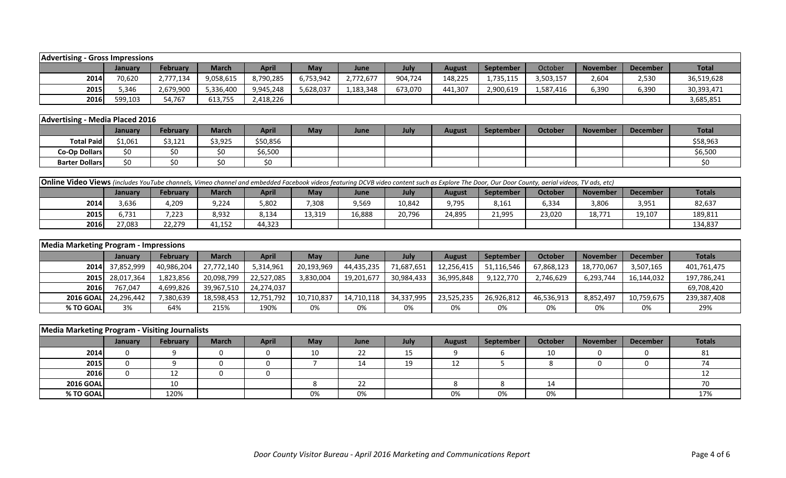| <b>Advertising - Gross Impressions</b> |         |           |              |              |            |           |             |               |           |           |                 |                 |              |
|----------------------------------------|---------|-----------|--------------|--------------|------------|-----------|-------------|---------------|-----------|-----------|-----------------|-----------------|--------------|
|                                        | January | February  | <b>March</b> | <b>April</b> | <b>May</b> | June      | July        | <b>August</b> | September | October   | <b>November</b> | <b>December</b> | <b>Total</b> |
| 2014                                   | 70,620  | 2,777,134 | 9,058,615    | 8,790,285    | 6,753,942  | 2,772,677 | 904,724     | 148,225       | 1,735,115 | 3,503,157 | 2,604           | 2,530           | 36,519,628   |
| 2015                                   | 5,346   | 2,679,900 | 5,336,400    | 9,945,248    | 5,628,037  | 1,183,348 | 673,070     | 441,307       | 2,900,619 | 1,587,416 | 6,390           | 6,390           | 30,393,471   |
| 2016                                   | 599,103 | 54,767    | 613,755      | 2,418,226    |            |           |             |               |           |           |                 |                 | 3,685,851    |
|                                        |         |           |              |              |            |           |             |               |           |           |                 |                 |              |
| Advertising - Media Placed 2016        |         |           |              |              |            |           |             |               |           |           |                 |                 |              |
|                                        | January | February  | <b>March</b> | <b>April</b> | May        | June      | <b>July</b> | <b>August</b> | September | October   | <b>November</b> | <b>December</b> | <b>Total</b> |
| <b>Total Paid</b>                      | \$1,061 | \$3,121   | \$3,925      | \$50,856     |            |           |             |               |           |           |                 |                 | \$58,963     |
| Co-Op Dollars                          | \$0     | \$0       | \$0          | \$6,500      |            |           |             |               |           |           |                 |                 | \$6,500      |
| <b>Barter Dollars</b>                  | \$0     | \$0       | \$0          | \$0          |            |           |             |               |           |           |                 |                 | \$0          |

|             | <b>Online Video Views</b> (includes YouTube channels, Vimeo channel and embedded Facebook videos featuring DCVB video content such as Explore The Door, Our Door County, aerial videos, TV ads, etc) |        |        |        |        |        |        |        |        |        |        |        |         |  |
|-------------|------------------------------------------------------------------------------------------------------------------------------------------------------------------------------------------------------|--------|--------|--------|--------|--------|--------|--------|--------|--------|--------|--------|---------|--|
|             | April<br><b>Totals</b><br><b>October</b><br><b>February</b><br><b>March</b><br><b>September</b><br>May<br><b>November</b><br>August<br><b>June</b><br>Julv<br><b>December</b><br>January             |        |        |        |        |        |        |        |        |        |        |        |         |  |
| 2014        | 3,636                                                                                                                                                                                                | 4,209  | 9,224  | 5,802  | 7,308  | 9,569  | 10,842 | 9,795  | 8,161  | 6,334  | 3,806  | 3,951  | 82,637  |  |
| 2015        | 5.731                                                                                                                                                                                                | 7,223  | 8,932  | 8,134  | 13,319 | 16,888 | 20,796 | 24,895 | 21,995 | 23,020 | 18.771 | 19,107 | 189,811 |  |
| <b>2016</b> | 27,083                                                                                                                                                                                               | 22,279 | 41,152 | 44,323 |        |        |        |        |        |        |        |        | 134,837 |  |

|                   | <b>Media Marketing Program - Impressions</b> |                 |              |              |            |            |            |               |                  |                |                 |                 |               |
|-------------------|----------------------------------------------|-----------------|--------------|--------------|------------|------------|------------|---------------|------------------|----------------|-----------------|-----------------|---------------|
|                   | <b>January</b>                               | <b>February</b> | <b>March</b> | <b>April</b> | May        | June       | July       | <b>August</b> | <b>September</b> | <b>October</b> | <b>November</b> | <b>December</b> | <b>Totals</b> |
|                   | 2014 37,852,999                              | 40,986,204      | 27,772,140   | 5,314,961    | 20,193,969 | 44,435,235 | 71,687,651 | 12,256,415    | 51,116,546       | 67,868,123     | 18,770,067      | 3,507,165       | 401,761,475   |
|                   | 2015 28,017,364                              | 1,823,856       | 20,098,799   | 22,527,085   | 3,830,004  | 19,201,677 | 30,984,433 | 36,995,848    | 9,122,770        | 2,746,629      | 6,293,744       | 16,144,032      | 197,786,241   |
| <b>2016</b>       | 767,047                                      | 4,699,826       | 39,967,510   | 24,274,037   |            |            |            |               |                  |                |                 |                 | 69,708,420    |
| <b>2016 GOALL</b> | 24,296,442                                   | 7,380,639       | 18,598,453   | 12,751,792   | 10,710,837 | 14,710,118 | 34,337,995 | 23,525,235    | 26,926,812       | 46,536,913     | 8,852,497       | 10,759,675      | 239,387,408   |
| % TO GOAL         | 3%                                           | 64%             | 215%         | 190%         | 0%         | 0%         | 0%         | 0%            | 0%               | 0%             | 0%              | 0%              | 29%           |

|                  | Media Marketing Program - Visiting Journalists |          |              |              |            |      |      |               |           |                |                 |                 |        |  |
|------------------|------------------------------------------------|----------|--------------|--------------|------------|------|------|---------------|-----------|----------------|-----------------|-----------------|--------|--|
|                  | <b>January</b>                                 | February | <b>March</b> | <b>April</b> | <b>May</b> | June | July | <b>August</b> | September | <b>October</b> | <b>November</b> | <b>December</b> | Totals |  |
| 2014             |                                                |          |              |              | 10         | 22   | 15   |               |           | 10             |                 |                 | 81     |  |
| 2015             |                                                |          |              |              |            | 14   | 19   | 12            |           |                |                 |                 |        |  |
| 2016             |                                                | 12       |              |              |            |      |      |               |           |                |                 |                 |        |  |
| <b>2016 GOAL</b> |                                                | 10       |              |              |            | 22   |      |               |           | 14             |                 |                 |        |  |
| % TO GOAL        |                                                | 120%     |              |              | 0%         | 0%   |      | 0%            | 0%        | 0%             |                 |                 | 17%    |  |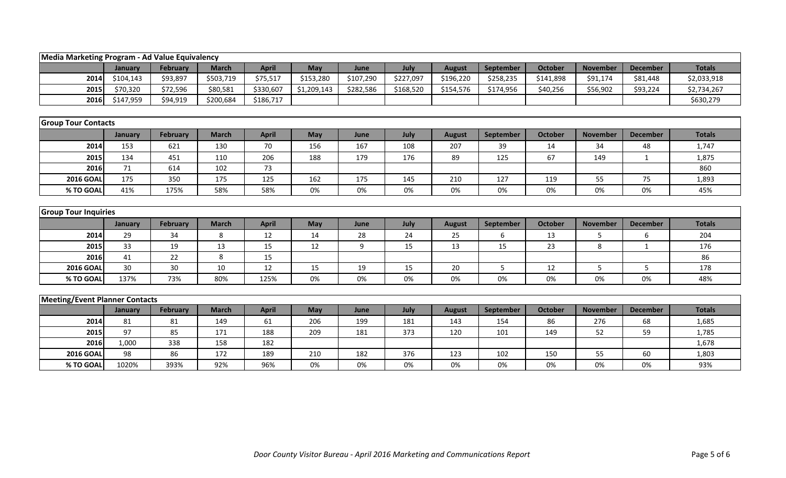| Media Marketing Program - Ad Value Equivalency |           |                 |              |              |             |           |           |               |           |                |                 |                 |               |
|------------------------------------------------|-----------|-----------------|--------------|--------------|-------------|-----------|-----------|---------------|-----------|----------------|-----------------|-----------------|---------------|
|                                                | January   | February        | <b>March</b> | <b>April</b> | May         | June      | July      | <b>August</b> | September | <b>October</b> | <b>November</b> | <b>December</b> | <b>Totals</b> |
| 2014                                           | \$104,143 | \$93,897        | \$503,719    | \$75,517     | \$153,280   | \$107,290 | \$227,097 | \$196,220     | \$258,235 | \$141,898      | \$91,174        | \$81,448        | \$2,033,918   |
| 2015                                           | \$70,320  | \$72,596        | \$80,581     | \$330,607    | \$1,209,143 | \$282,586 | \$168,520 | \$154,576     | \$174,956 | \$40,256       | \$56,902        | \$93,224        | \$2,734,267   |
| 2016                                           | \$147,959 | \$94,919        | \$200,684    | \$186,717    |             |           |           |               |           |                |                 |                 | \$630,279     |
|                                                |           |                 |              |              |             |           |           |               |           |                |                 |                 |               |
| <b>Group Tour Contacts</b>                     |           |                 |              |              |             |           |           |               |           |                |                 |                 |               |
|                                                | January   | February        | <b>March</b> | <b>April</b> | <b>May</b>  | June      | July      | <b>August</b> | September | <b>October</b> | <b>November</b> | <b>December</b> | <b>Totals</b> |
| 2014                                           | 153       | 621             | 130          | 70           | 156         | 167       | 108       | 207           | 39        | 14             | 34              | 48              | 1,747         |
| 2015                                           | 134       | 451             | 110          | 206          | 188         | 179       | 176       | 89            | 125       | 67             | 149             | $\mathbf{1}$    | 1,875         |
| 2016                                           | 71        | 614             | 102          | 73           |             |           |           |               |           |                |                 |                 | 860           |
| <b>2016 GOAL</b>                               | 175       | 350             | 175          | 125          | 162         | 175       | 145       | 210           | 127       | 119            | 55              | 75              | 1,893         |
| % TO GOAL                                      | 41%       | 175%            | 58%          | 58%          | 0%          | 0%        | 0%        | 0%            | 0%        | 0%             | 0%              | 0%              | 45%           |
|                                                |           |                 |              |              |             |           |           |               |           |                |                 |                 |               |
| <b>Group Tour Inquiries</b>                    |           |                 |              |              |             |           |           |               |           |                |                 |                 |               |
|                                                | January   | <b>February</b> | <b>March</b> | <b>April</b> | May         | June      | July      | <b>August</b> | September | <b>October</b> | <b>November</b> | <b>December</b> | <b>Totals</b> |
| 2014                                           | 29        | 34              | 8            | 12           | 14          | 28        | 24        | 25            | 6         | 13             | 5               | 6               | 204           |
| 2015                                           | 33        | 19              | 13           | 15           | 12          | 9         | 15        | 13            | 15        | 23             | 8               | $\mathbf{1}$    | 176           |
| 2016                                           | 41        | 22              | 8            | 15           |             |           |           |               |           |                |                 |                 | 86            |
| <b>2016 GOAL</b>                               | 30        | 30              | 10           | 12           | 15          | 19        | 15        | 20            | 5         | 12             | 5               | 5               | 178           |
| % TO GOAL                                      | 137%      | 73%             | 80%          | 125%         | 0%          | 0%        | 0%        | 0%            | 0%        | 0%             | 0%              | 0%              | 48%           |
|                                                |           |                 |              |              |             |           |           |               |           |                |                 |                 |               |
| <b>Meeting/Event Planner Contacts</b>          |           |                 |              |              |             |           |           |               |           |                |                 |                 |               |
|                                                | January   | February        | <b>March</b> | <b>April</b> | May         | June      | July      | <b>August</b> | September | <b>October</b> | <b>November</b> | <b>December</b> | <b>Totals</b> |
| 2014                                           | 81        | 81              | 149          | 61           | 206         | 199       | 181       | 143           | 154       | 86             | 276             | 68              | 1,685         |
| 2015                                           | 97        | 85              | 171          | 188          | 209         | 181       | 373       | 120           | 101       | 149            | 52              | 59              | 1,785         |
| 2016                                           | 1,000     | 338             | 158          | 182          |             |           |           |               |           |                |                 |                 | 1,678         |
| <b>2016 GOAL</b>                               | 98        | 86              | 172          | 189          | 210         | 182       | 376       | 123           | 102       | 150            | 55              | 60              | 1,803         |
| % TO GOAI                                      | 1020%     | 393%            | 92%          | 96%          | 0%          | 0%        | 0%        | 0%            | 0%        | 0%             | 0%              | 0%              | 93%           |